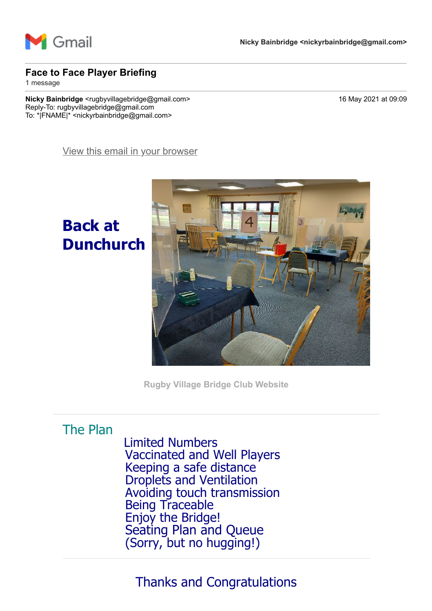

#### **Face to Face Player Briefing**

1 message

**Nicky Bainbridge** <rugbyvillagebridge@gmail.com> 16 May 2021 at 09:09 Reply-To: rugbyvillagebridge@gmail.com To: \*|FNAME|\* <nickyrbainbridge@gmail.com>

[View this email in your browser](https://mailchi.mp/6ec98cf9657b/face-to-face-player-briefing?e=7736085cbd)

**Back at Dunchurch**



**[Rugby Village Bridge Club Website](https://rugbyvillagebridge.us16.list-manage.com/track/click?u=5ca90c1560213b9616359b892&id=4fcdf41eb0&e=7736085cbd)**

### The Plan

 Limited Numbers Vaccinated and Well Players Keeping a safe distance Droplets and Ventilation Avoiding touch transmission Being Traceable Enjoy the Bridge! Seating Plan and Queue (Sorry, but no hugging!)

## Thanks and Congratulations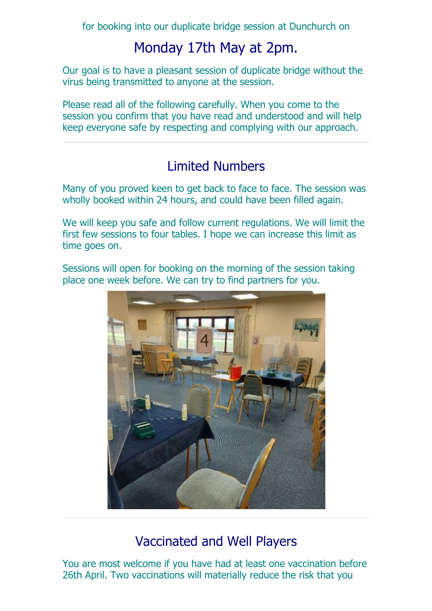for booking into our duplicate bridge session at Dunchurch on

## Monday 17th May at 2pm.

Our goal is to have a pleasant session of duplicate bridge without the virus being transmitted to anyone at the session.

Please read all of the following carefully. When you come to the session you confirm that you have read and understood and will help keep everyone safe by respecting and complying with our approach.

### Limited Numbers

Many of you proved keen to get back to face to face. The session was wholly booked within 24 hours, and could have been filled again.

We will keep you safe and follow current regulations. We will limit the first few sessions to four tables. I hope we can increase this limit as time goes on.

Sessions will open for booking on the morning of the session taking place one week before. We can try to find partners for you.



## Vaccinated and Well Players

You are most welcome if you have had at least one vaccination before 26th April. Two vaccinations will materially reduce the risk that you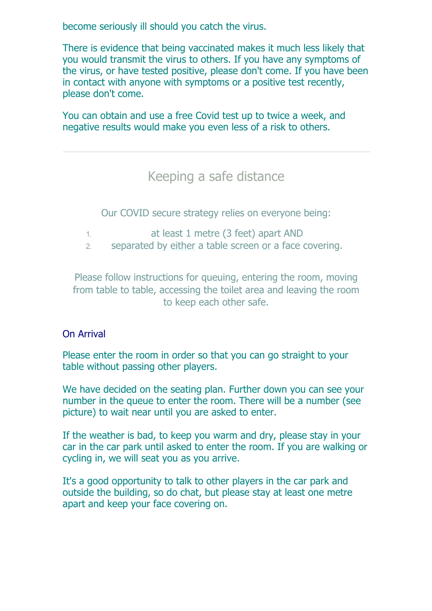become seriously ill should you catch the virus.

There is evidence that being vaccinated makes it much less likely that you would transmit the virus to others. If you have any symptoms of the virus, or have tested positive, please don't come. If you have been in contact with anyone with symptoms or a positive test recently, please don't come.

You can obtain and use a free Covid test up to twice a week, and negative results would make you even less of a risk to others.

Keeping a safe distance

Our COVID secure strategy relies on everyone being:

- 1. at least 1 metre (3 feet) apart AND
- 2. separated by either a table screen or a face covering.

Please follow instructions for queuing, entering the room, moving from table to table, accessing the toilet area and leaving the room to keep each other safe.

### On Arrival

Please enter the room in order so that you can go straight to your table without passing other players.

We have decided on the seating plan. Further down you can see your number in the queue to enter the room. There will be a number (see picture) to wait near until you are asked to enter.

If the weather is bad, to keep you warm and dry, please stay in your car in the car park until asked to enter the room. If you are walking or cycling in, we will seat you as you arrive.

It's a good opportunity to talk to other players in the car park and outside the building, so do chat, but please stay at least one metre apart and keep your face covering on.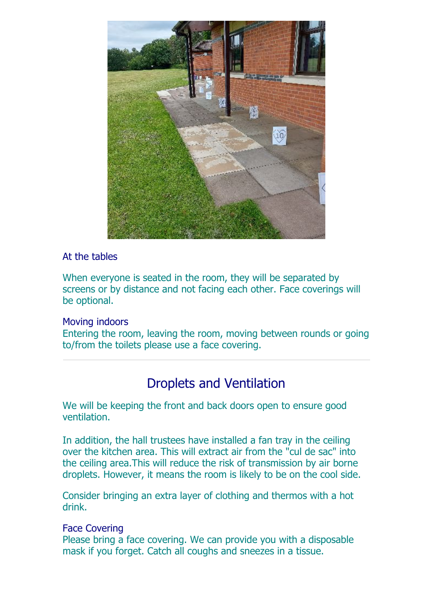

#### At the tables

When everyone is seated in the room, they will be separated by screens or by distance and not facing each other. Face coverings will be optional.

#### Moving indoors

Entering the room, leaving the room, moving between rounds or going to/from the toilets please use a face covering.

### Droplets and Ventilation

We will be keeping the front and back doors open to ensure good ventilation.

In addition, the hall trustees have installed a fan tray in the ceiling over the kitchen area. This will extract air from the "cul de sac" into the ceiling area.This will reduce the risk of transmission by air borne droplets. However, it means the room is likely to be on the cool side.

Consider bringing an extra layer of clothing and thermos with a hot drink.

### Face Covering

Please bring a face covering. We can provide you with a disposable mask if you forget. Catch all coughs and sneezes in a tissue.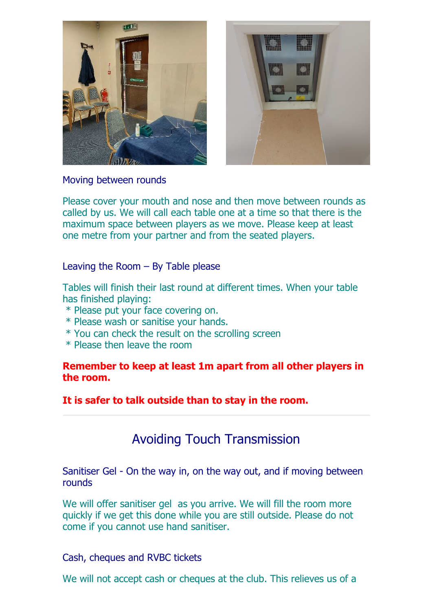



Moving between rounds

Please cover your mouth and nose and then move between rounds as called by us. We will call each table one at a time so that there is the maximum space between players as we move. Please keep at least one metre from your partner and from the seated players.

#### Leaving the Room – By Table please

Tables will finish their last round at different times. When your table has finished playing:

- \* Please put your face covering on.
- \* Please wash or sanitise your hands.
- \* You can check the result on the scrolling screen
- \* Please then leave the room

#### **Remember to keep at least 1m apart from all other players in the room.**

**It is safer to talk outside than to stay in the room.**

### Avoiding Touch Transmission

Sanitiser Gel - On the way in, on the way out, and if moving between rounds

We will offer sanitiser gel as you arrive. We will fill the room more quickly if we get this done while you are still outside. Please do not come if you cannot use hand sanitiser.

#### Cash, cheques and RVBC tickets

We will not accept cash or cheques at the club. This relieves us of a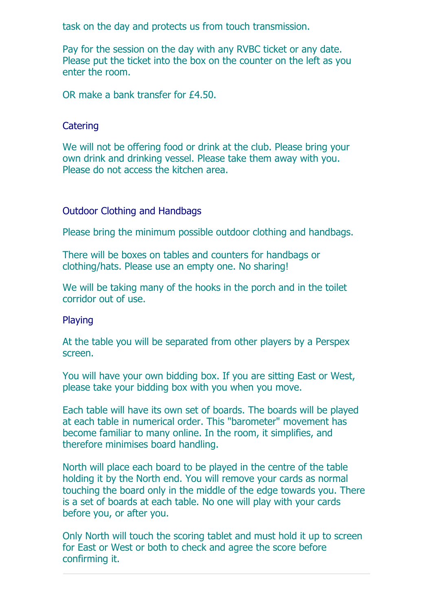task on the day and protects us from touch transmission.

Pay for the session on the day with any RVBC ticket or any date. Please put the ticket into the box on the counter on the left as you enter the room.

OR make a bank transfer for £4.50.

#### **Catering**

We will not be offering food or drink at the club. Please bring your own drink and drinking vessel. Please take them away with you. Please do not access the kitchen area.

#### Outdoor Clothing and Handbags

Please bring the minimum possible outdoor clothing and handbags.

There will be boxes on tables and counters for handbags or clothing/hats. Please use an empty one. No sharing!

We will be taking many of the hooks in the porch and in the toilet corridor out of use.

#### Playing

At the table you will be separated from other players by a Perspex screen.

You will have your own bidding box. If you are sitting East or West, please take your bidding box with you when you move.

Each table will have its own set of boards. The boards will be played at each table in numerical order. This "barometer" movement has become familiar to many online. In the room, it simplifies, and therefore minimises board handling.

North will place each board to be played in the centre of the table holding it by the North end. You will remove your cards as normal touching the board only in the middle of the edge towards you. There is a set of boards at each table. No one will play with your cards before you, or after you.

Only North will touch the scoring tablet and must hold it up to screen for East or West or both to check and agree the score before confirming it.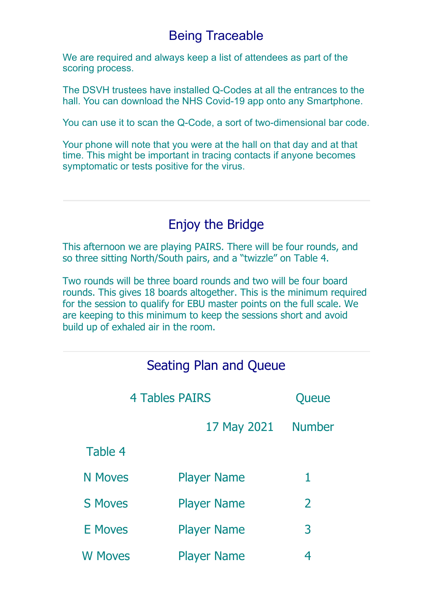### Being Traceable

We are required and always keep a list of attendees as part of the scoring process.

The DSVH trustees have installed Q-Codes at all the entrances to the hall. You can download the NHS Covid-19 app onto any Smartphone.

You can use it to scan the Q-Code, a sort of two-dimensional bar code.

Your phone will note that you were at the hall on that day and at that time. This might be important in tracing contacts if anyone becomes symptomatic or tests positive for the virus.

### Enjoy the Bridge

This afternoon we are playing PAIRS. There will be four rounds, and so three sitting North/South pairs, and a "twizzle" on Table 4.

Two rounds will be three board rounds and two will be four board rounds. This gives 18 boards altogether. This is the minimum required for the session to qualify for EBU master points on the full scale. We are keeping to this minimum to keep the sessions short and avoid build up of exhaled air in the room.

| Seating Plan and Queue |                    |               |  |  |  |
|------------------------|--------------------|---------------|--|--|--|
| <b>4 Tables PAIRS</b>  |                    | Queue         |  |  |  |
|                        | 17 May 2021        | <b>Number</b> |  |  |  |
| Table 4                |                    |               |  |  |  |
| <b>N</b> Moves         | <b>Player Name</b> | 1             |  |  |  |
| <b>S Moves</b>         | <b>Player Name</b> | 2             |  |  |  |
| <b>E</b> Moves         | <b>Player Name</b> | 3             |  |  |  |
| <b>W</b> Moves         | <b>Player Name</b> | 4             |  |  |  |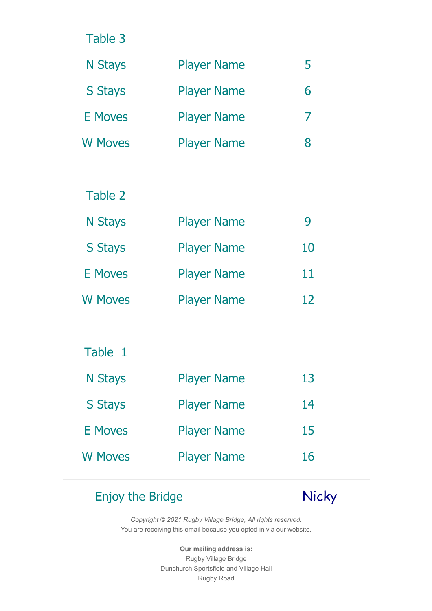Table 3

| <b>N</b> Stays | <b>Player Name</b> | ר |
|----------------|--------------------|---|
| <b>S</b> Stays | <b>Player Name</b> | 6 |
| E Moves        | <b>Player Name</b> |   |
| <b>W</b> Moves | <b>Player Name</b> | 8 |

### Table 2

| <b>N</b> Stays | <b>Player Name</b> | Ч  |
|----------------|--------------------|----|
| <b>S</b> Stays | <b>Player Name</b> | 10 |
| <b>E</b> Moves | <b>Player Name</b> | 11 |
| <b>W Moves</b> | <b>Player Name</b> | 12 |

### Table 1

| <b>N</b> Stays | <b>Player Name</b> | 13 |
|----------------|--------------------|----|
| <b>S Stays</b> | <b>Player Name</b> | 14 |
| <b>E</b> Moves | <b>Player Name</b> | 15 |
| <b>W Moves</b> | <b>Player Name</b> | 16 |

# Enjoy the Bridge Nicky

*Copyright © 2021 Rugby Village Bridge, All rights reserved.* You are receiving this email because you opted in via our website.

> **Our mailing address is:** Rugby Village Bridge Dunchurch Sportsfield and Village Hall Rugby Road